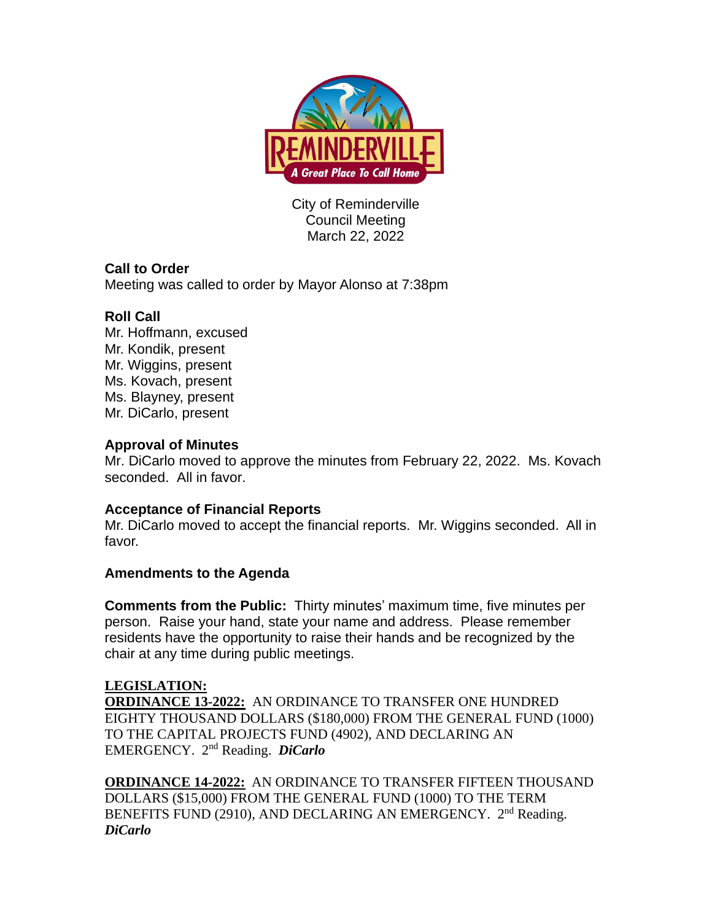

City of Reminderville Council Meeting March 22, 2022

# **Call to Order**

Meeting was called to order by Mayor Alonso at 7:38pm

## **Roll Call**

Mr. Hoffmann, excused Mr. Kondik, present Mr. Wiggins, present Ms. Kovach, present Ms. Blayney, present Mr. DiCarlo, present

### **Approval of Minutes**

Mr. DiCarlo moved to approve the minutes from February 22, 2022. Ms. Kovach seconded. All in favor.

### **Acceptance of Financial Reports**

Mr. DiCarlo moved to accept the financial reports. Mr. Wiggins seconded. All in favor.

### **Amendments to the Agenda**

**Comments from the Public:** Thirty minutes' maximum time, five minutes per person. Raise your hand, state your name and address. Please remember residents have the opportunity to raise their hands and be recognized by the chair at any time during public meetings.

### **LEGISLATION:**

**ORDINANCE 13-2022:** AN ORDINANCE TO TRANSFER ONE HUNDRED EIGHTY THOUSAND DOLLARS (\$180,000) FROM THE GENERAL FUND (1000) TO THE CAPITAL PROJECTS FUND (4902), AND DECLARING AN EMERGENCY. 2 nd Reading. *DiCarlo*

**ORDINANCE 14-2022:** AN ORDINANCE TO TRANSFER FIFTEEN THOUSAND DOLLARS (\$15,000) FROM THE GENERAL FUND (1000) TO THE TERM BENEFITS FUND (2910), AND DECLARING AN EMERGENCY. 2<sup>nd</sup> Reading. *DiCarlo*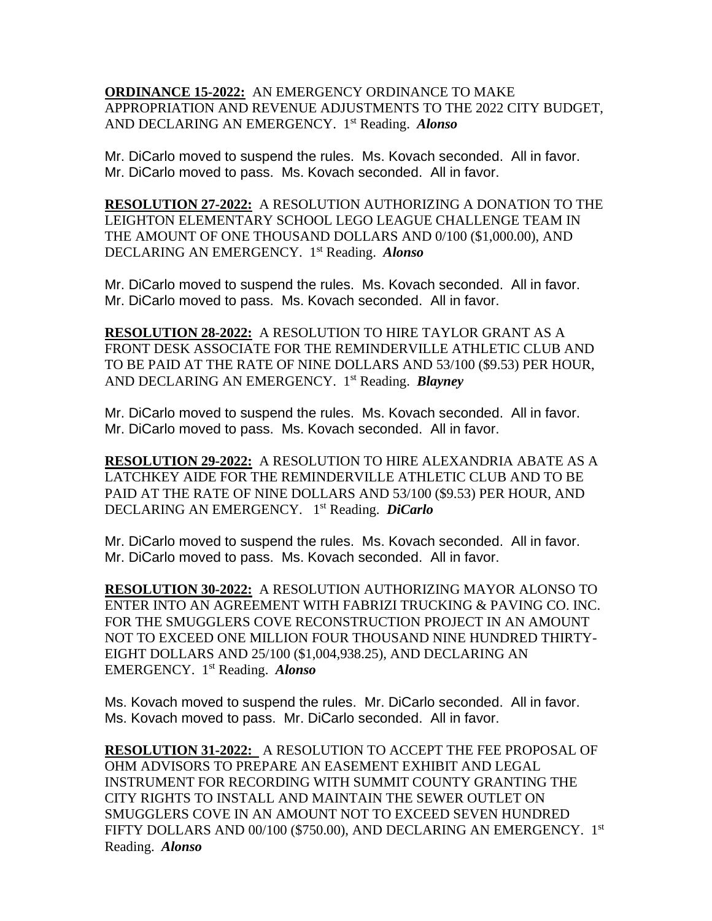**ORDINANCE 15-2022:** AN EMERGENCY ORDINANCE TO MAKE APPROPRIATION AND REVENUE ADJUSTMENTS TO THE 2022 CITY BUDGET, AND DECLARING AN EMERGENCY. 1 st Reading. *Alonso*

Mr. DiCarlo moved to suspend the rules. Ms. Kovach seconded. All in favor. Mr. DiCarlo moved to pass. Ms. Kovach seconded. All in favor.

**RESOLUTION 27-2022:** A RESOLUTION AUTHORIZING A DONATION TO THE LEIGHTON ELEMENTARY SCHOOL LEGO LEAGUE CHALLENGE TEAM IN THE AMOUNT OF ONE THOUSAND DOLLARS AND 0/100 (\$1,000.00), AND DECLARING AN EMERGENCY. 1 st Reading. *Alonso*

Mr. DiCarlo moved to suspend the rules. Ms. Kovach seconded. All in favor. Mr. DiCarlo moved to pass. Ms. Kovach seconded. All in favor.

**RESOLUTION 28-2022:** A RESOLUTION TO HIRE TAYLOR GRANT AS A FRONT DESK ASSOCIATE FOR THE REMINDERVILLE ATHLETIC CLUB AND TO BE PAID AT THE RATE OF NINE DOLLARS AND 53/100 (\$9.53) PER HOUR, AND DECLARING AN EMERGENCY. 1 st Reading. *Blayney*

Mr. DiCarlo moved to suspend the rules. Ms. Kovach seconded. All in favor. Mr. DiCarlo moved to pass. Ms. Kovach seconded. All in favor.

**RESOLUTION 29-2022:** A RESOLUTION TO HIRE ALEXANDRIA ABATE AS A LATCHKEY AIDE FOR THE REMINDERVILLE ATHLETIC CLUB AND TO BE PAID AT THE RATE OF NINE DOLLARS AND 53/100 (\$9.53) PER HOUR, AND DECLARING AN EMERGENCY. 1 st Reading. *DiCarlo*

Mr. DiCarlo moved to suspend the rules. Ms. Kovach seconded. All in favor. Mr. DiCarlo moved to pass. Ms. Kovach seconded. All in favor.

**RESOLUTION 30-2022:** A RESOLUTION AUTHORIZING MAYOR ALONSO TO ENTER INTO AN AGREEMENT WITH FABRIZI TRUCKING & PAVING CO. INC. FOR THE SMUGGLERS COVE RECONSTRUCTION PROJECT IN AN AMOUNT NOT TO EXCEED ONE MILLION FOUR THOUSAND NINE HUNDRED THIRTY-EIGHT DOLLARS AND 25/100 (\$1,004,938.25), AND DECLARING AN EMERGENCY. 1 st Reading. *Alonso*

Ms. Kovach moved to suspend the rules. Mr. DiCarlo seconded. All in favor. Ms. Kovach moved to pass. Mr. DiCarlo seconded. All in favor.

**RESOLUTION 31-2022:** A RESOLUTION TO ACCEPT THE FEE PROPOSAL OF OHM ADVISORS TO PREPARE AN EASEMENT EXHIBIT AND LEGAL INSTRUMENT FOR RECORDING WITH SUMMIT COUNTY GRANTING THE CITY RIGHTS TO INSTALL AND MAINTAIN THE SEWER OUTLET ON SMUGGLERS COVE IN AN AMOUNT NOT TO EXCEED SEVEN HUNDRED FIFTY DOLLARS AND 00/100 (\$750.00), AND DECLARING AN EMERGENCY. 1st Reading. *Alonso*